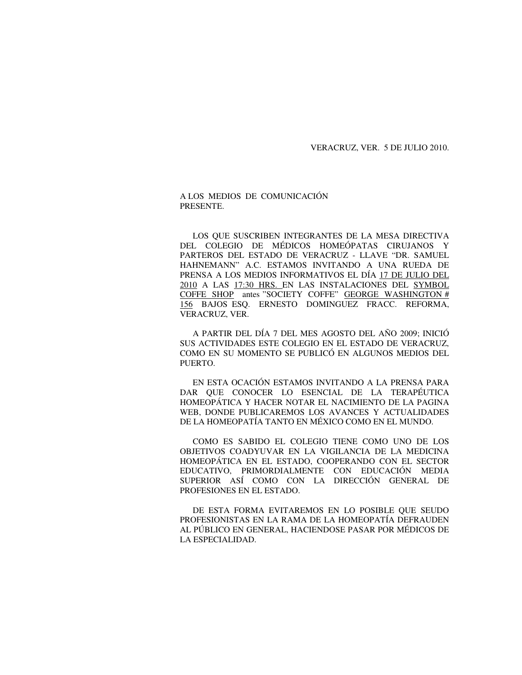VERACRUZ, VER. 5 DE JULIO 2010.

A LOS MEDIOS DE COMUNICACIÓN PRESENTE.

LOS QUE SUSCRIBEN INTEGRANTES DE LA MESA DIRECTIVA DEL COLEGIO DE MÉDICOS HOMEÓPATAS CIRUJANOS Y PARTEROS DEL ESTADO DE VERACRUZ - LLAVE "DR. SAMUEL HAHNEMANN" A.C. ESTAMOS INVITANDO A UNA RUEDA DE PRENSA A LOS MEDIOS INFORMATIVOS EL DÍA 17 DE JULIO DEL 2010 A LAS 17:30 HRS. EN LAS INSTALACIONES DEL SYMBOL COFFE SHOP antes "SOCIETY COFFE" GEORGE WASHINGTON # 156 BAJOS ESQ. ERNESTO DOMINGUEZ FRACC. REFORMA, VERACRUZ, VER.

A PARTIR DEL DÍA 7 DEL MES AGOSTO DEL AÑO 2009; INICIÓ SUS ACTIVIDADES ESTE COLEGIO EN EL ESTADO DE VERACRUZ, COMO EN SU MOMENTO SE PUBLICÓ EN ALGUNOS MEDIOS DEL PUERTO.

EN ESTA OCACIÓN ESTAMOS INVITANDO A LA PRENSA PARA DAR QUE CONOCER LO ESENCIAL DE LA TERAPÉUTICA HOMEOPÁTICA Y HACER NOTAR EL NACIMIENTO DE LA PAGINA WEB, DONDE PUBLICAREMOS LOS AVANCES Y ACTUALIDADES DE LA HOMEOPATÍA TANTO EN MÉXICO COMO EN EL MUNDO.

COMO ES SABIDO EL COLEGIO TIENE COMO UNO DE LOS OBJETIVOS COADYUVAR EN LA VIGILANCIA DE LA MEDICINA HOMEOPÁTICA EN EL ESTADO, COOPERANDO CON EL SECTOR EDUCATIVO, PRIMORDIALMENTE CON EDUCACIÓN MEDIA SUPERIOR ASÍ COMO CON LA DIRECCIÓN GENERAL DE PROFESIONES EN EL ESTADO.

DE ESTA FORMA EVITAREMOS EN LO POSIBLE QUE SEUDO PROFESIONISTAS EN LA RAMA DE LA HOMEOPATÍA DEFRAUDEN AL PÚBLICO EN GENERAL, HACIENDOSE PASAR POR MÉDICOS DE LA ESPECIALIDAD.